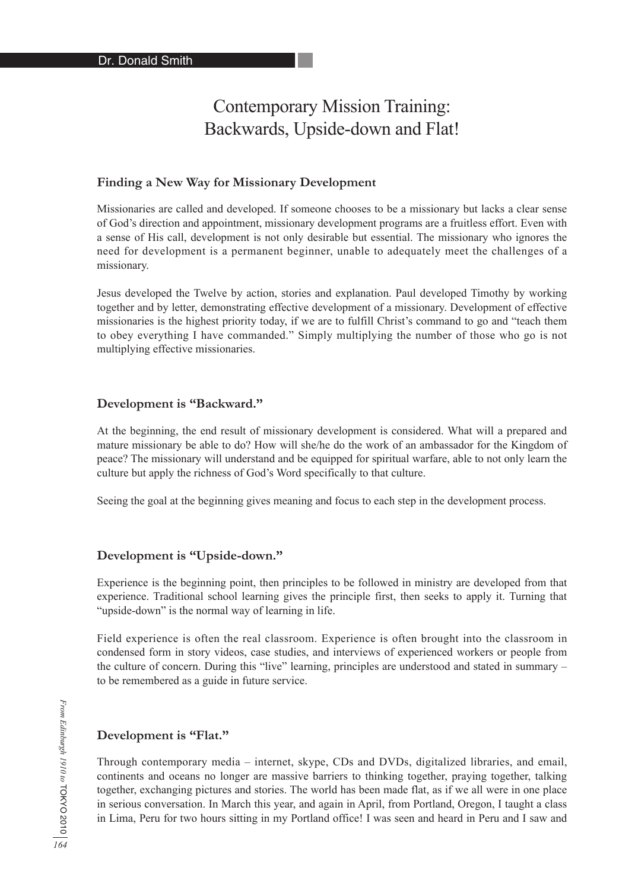# Contemporary Mission Training: Backwards, Upside-down and Flat!

#### **Finding a New Way for Missionary Development**

Missionaries are called and developed. If someone chooses to be a missionary but lacks a clear sense of God's direction and appointment, missionary development programs are a fruitless effort. Even with a sense of His call, development is not only desirable but essential. The missionary who ignores the need for development is a permanent beginner, unable to adequately meet the challenges of a missionary.

Jesus developed the Twelve by action, stories and explanation. Paul developed Timothy by working together and by letter, demonstrating effective development of a missionary. Development of effective missionaries is the highest priority today, if we are to fulfill Christ's command to go and "teach them to obey everything I have commanded." Simply multiplying the number of those who go is not multiplying effective missionaries.

#### **Development is "Backward."**

At the beginning, the end result of missionary development is considered. What will a prepared and mature missionary be able to do? How will she/he do the work of an ambassador for the Kingdom of peace? The missionary will understand and be equipped for spiritual warfare, able to not only learn the culture but apply the richness of God's Word specifically to that culture.

Seeing the goal at the beginning gives meaning and focus to each step in the development process.

#### **Development is "Upside-down."**

Experience is the beginning point, then principles to be followed in ministry are developed from that experience. Traditional school learning gives the principle first, then seeks to apply it. Turning that "upside-down" is the normal way of learning in life.

Field experience is often the real classroom. Experience is often brought into the classroom in condensed form in story videos, case studies, and interviews of experienced workers or people from the culture of concern. During this "live" learning, principles are understood and stated in summary – to be remembered as a guide in future service.

#### **Development is "Flat."**

Through contemporary media – internet, skype, CDs and DVDs, digitalized libraries, and email, continents and oceans no longer are massive barriers to thinking together, praying together, talking together, exchanging pictures and stories. The world has been made flat, as if we all were in one place in serious conversation. In March this year, and again in April, from Portland, Oregon, I taught a class in Lima, Peru for two hours sitting in my Portland office! I was seen and heard in Peru and I saw and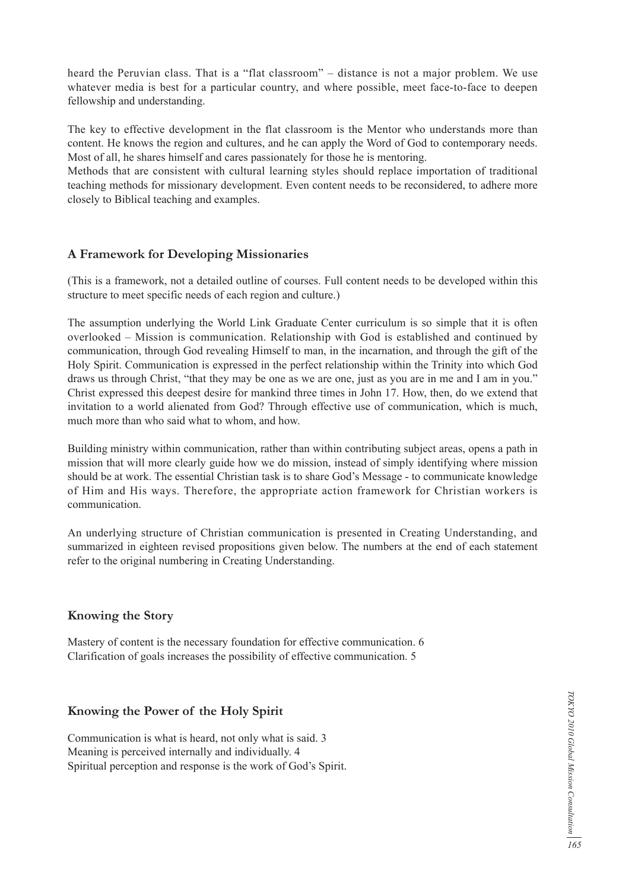heard the Peruvian class. That is a "flat classroom" – distance is not a major problem. We use whatever media is best for a particular country, and where possible, meet face-to-face to deepen fellowship and understanding.

The key to effective development in the flat classroom is the Mentor who understands more than content. He knows the region and cultures, and he can apply the Word of God to contemporary needs. Most of all, he shares himself and cares passionately for those he is mentoring.

Methods that are consistent with cultural learning styles should replace importation of traditional teaching methods for missionary development. Even content needs to be reconsidered, to adhere more closely to Biblical teaching and examples.

## **A Framework for Developing Missionaries**

(This is a framework, not a detailed outline of courses. Full content needs to be developed within this structure to meet specific needs of each region and culture.)

The assumption underlying the World Link Graduate Center curriculum is so simple that it is often overlooked – Mission is communication. Relationship with God is established and continued by communication, through God revealing Himself to man, in the incarnation, and through the gift of the Holy Spirit. Communication is expressed in the perfect relationship within the Trinity into which God draws us through Christ, "that they may be one as we are one, just as you are in me and I am in you." Christ expressed this deepest desire for mankind three times in John 17. How, then, do we extend that invitation to a world alienated from God? Through effective use of communication, which is much, much more than who said what to whom, and how.

Building ministry within communication, rather than within contributing subject areas, opens a path in mission that will more clearly guide how we do mission, instead of simply identifying where mission should be at work. The essential Christian task is to share God's Message - to communicate knowledge of Him and His ways. Therefore, the appropriate action framework for Christian workers is communication.

An underlying structure of Christian communication is presented in Creating Understanding, and summarized in eighteen revised propositions given below. The numbers at the end of each statement refer to the original numbering in Creating Understanding.

### **Knowing the Story**

Mastery of content is the necessary foundation for effective communication. 6 Clarification of goals increases the possibility of effective communication. 5

### **Knowing the Power of the Holy Spirit**

Communication is what is heard, not only what is said. 3 Meaning is perceived internally and individually. 4 Spiritual perception and response is the work of God's Spirit.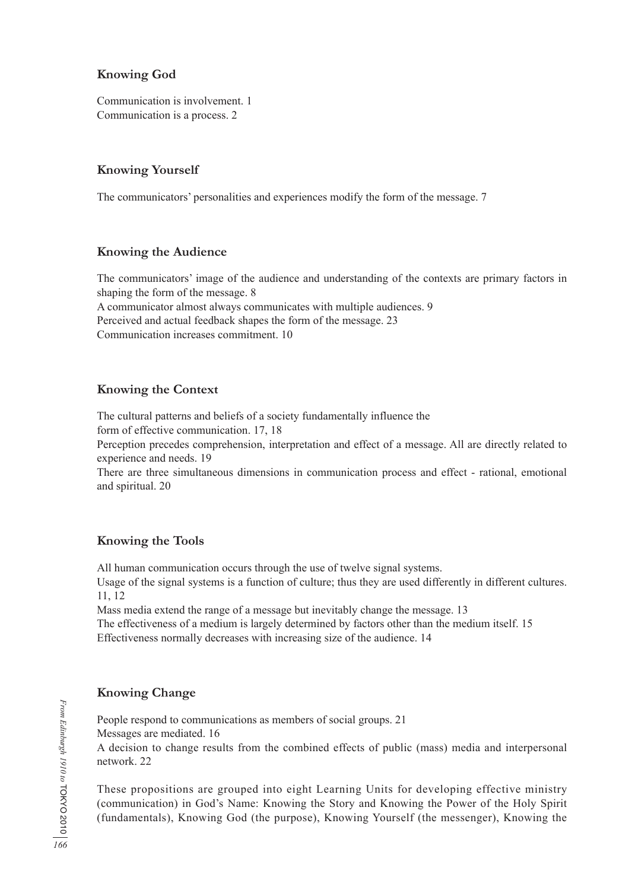# **Knowing God**

Communication is involvement. 1 Communication is a process. 2

# **Knowing Yourself**

The communicators' personalities and experiences modify the form of the message. 7

## **Knowing the Audience**

The communicators' image of the audience and understanding of the contexts are primary factors in shaping the form of the message. 8

A communicator almost always communicates with multiple audiences. 9 Perceived and actual feedback shapes the form of the message. 23 Communication increases commitment. 10

# **Knowing the Context**

The cultural patterns and beliefs of a society fundamentally influence the

form of effective communication. 17, 18

Perception precedes comprehension, interpretation and effect of a message. All are directly related to experience and needs. 19

There are three simultaneous dimensions in communication process and effect - rational, emotional and spiritual. 20

# **Knowing the Tools**

All human communication occurs through the use of twelve signal systems.

Usage of the signal systems is a function of culture; thus they are used differently in different cultures. 11, 12

Mass media extend the range of a message but inevitably change the message. 13

The effectiveness of a medium is largely determined by factors other than the medium itself. 15 Effectiveness normally decreases with increasing size of the audience. 14

# **Knowing Change**

People respond to communications as members of social groups. 21 Messages are mediated. 16

A decision to change results from the combined effects of public (mass) media and interpersonal network. 22

These propositions are grouped into eight Learning Units for developing effective ministry (communication) in God's Name: Knowing the Story and Knowing the Power of the Holy Spirit (fundamentals), Knowing God (the purpose), Knowing Yourself (the messenger), Knowing the